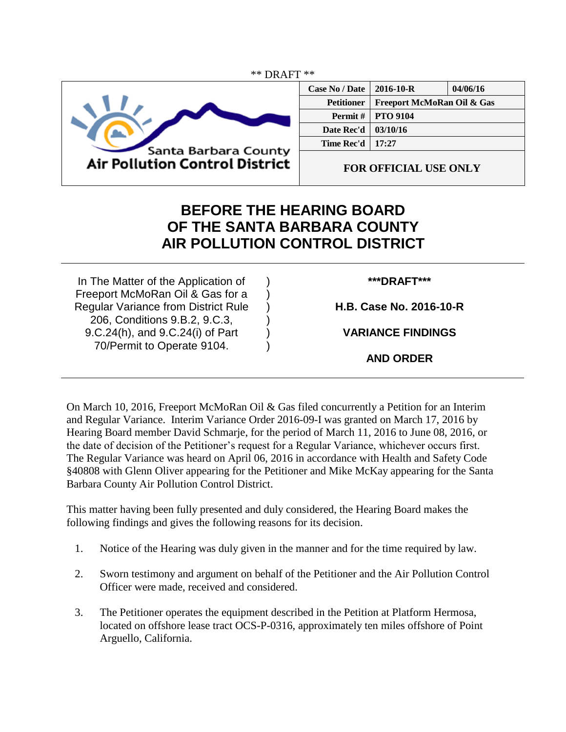

| <b>Case No / Date</b> | $2016 - 10 - R$            | 04/06/16 |
|-----------------------|----------------------------|----------|
| <b>Petitioner</b>     | Freeport McMoRan Oil & Gas |          |
| <b>Permit</b> $\#$    | <b>PTO 9104</b>            |          |
| Date Rec'd            | 03/10/16                   |          |
| Time Rec'd            | 17:27                      |          |
|                       |                            |          |

**FOR OFFICIAL USE ONLY**

## **BEFORE THE HEARING BOARD OF THE SANTA BARBARA COUNTY AIR POLLUTION CONTROL DISTRICT**

) ) ) ) ) )

In The Matter of the Application of Freeport McMoRan Oil & Gas for a Regular Variance from District Rule 206, Conditions 9.B.2, 9.C.3, 9.C.24(h), and 9.C.24(i) of Part 70/Permit to Operate 9104.

## **\*\*\*DRAFT\*\*\***

**H.B. Case No. 2016-10-R**

**VARIANCE FINDINGS**

**AND ORDER**

On March 10, 2016, Freeport McMoRan Oil & Gas filed concurrently a Petition for an Interim and Regular Variance. Interim Variance Order 2016-09-I was granted on March 17, 2016 by Hearing Board member David Schmarje, for the period of March 11, 2016 to June 08, 2016, or the date of decision of the Petitioner's request for a Regular Variance, whichever occurs first. The Regular Variance was heard on April 06, 2016 in accordance with Health and Safety Code §40808 with Glenn Oliver appearing for the Petitioner and Mike McKay appearing for the Santa Barbara County Air Pollution Control District.

This matter having been fully presented and duly considered, the Hearing Board makes the following findings and gives the following reasons for its decision.

- 1. Notice of the Hearing was duly given in the manner and for the time required by law.
- 2. Sworn testimony and argument on behalf of the Petitioner and the Air Pollution Control Officer were made, received and considered.
- 3. The Petitioner operates the equipment described in the Petition at Platform Hermosa, located on offshore lease tract OCS-P-0316, approximately ten miles offshore of Point Arguello, California.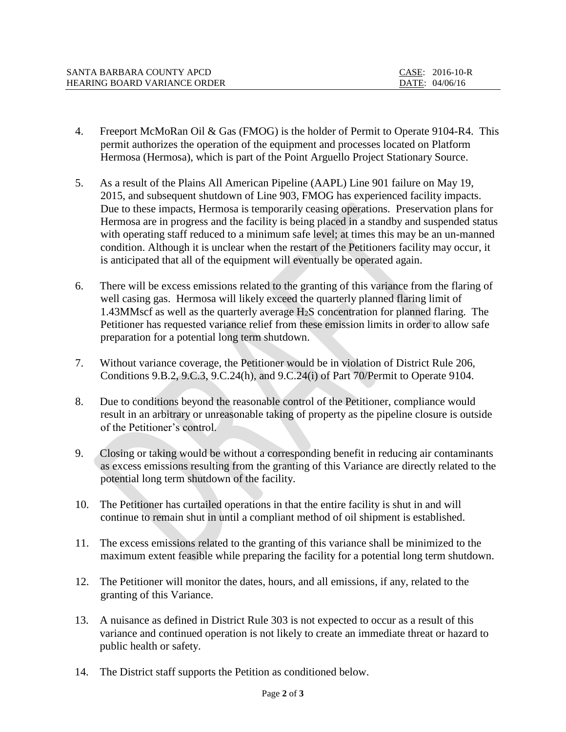| SANTA BARBARA COUNTY APCD           | CASE: 2016-10-R |
|-------------------------------------|-----------------|
| <b>HEARING BOARD VARIANCE ORDER</b> | DATE: 04/06/16  |

- 4. Freeport McMoRan Oil & Gas (FMOG) is the holder of Permit to Operate 9104-R4. This permit authorizes the operation of the equipment and processes located on Platform Hermosa (Hermosa), which is part of the Point Arguello Project Stationary Source.
- 5. As a result of the Plains All American Pipeline (AAPL) Line 901 failure on May 19, 2015, and subsequent shutdown of Line 903, FMOG has experienced facility impacts. Due to these impacts, Hermosa is temporarily ceasing operations. Preservation plans for Hermosa are in progress and the facility is being placed in a standby and suspended status with operating staff reduced to a minimum safe level; at times this may be an un-manned condition. Although it is unclear when the restart of the Petitioners facility may occur, it is anticipated that all of the equipment will eventually be operated again.
- 6. There will be excess emissions related to the granting of this variance from the flaring of well casing gas. Hermosa will likely exceed the quarterly planned flaring limit of 1.43MMscf as well as the quarterly average H2S concentration for planned flaring. The Petitioner has requested variance relief from these emission limits in order to allow safe preparation for a potential long term shutdown.
- 7. Without variance coverage, the Petitioner would be in violation of District Rule 206, Conditions 9.B.2, 9.C.3, 9.C.24(h), and 9.C.24(i) of Part 70/Permit to Operate 9104.
- 8. Due to conditions beyond the reasonable control of the Petitioner, compliance would result in an arbitrary or unreasonable taking of property as the pipeline closure is outside of the Petitioner's control.
- 9. Closing or taking would be without a corresponding benefit in reducing air contaminants as excess emissions resulting from the granting of this Variance are directly related to the potential long term shutdown of the facility.
- 10. The Petitioner has curtailed operations in that the entire facility is shut in and will continue to remain shut in until a compliant method of oil shipment is established.
- 11. The excess emissions related to the granting of this variance shall be minimized to the maximum extent feasible while preparing the facility for a potential long term shutdown.
- 12. The Petitioner will monitor the dates, hours, and all emissions, if any, related to the granting of this Variance.
- 13. A nuisance as defined in District Rule 303 is not expected to occur as a result of this variance and continued operation is not likely to create an immediate threat or hazard to public health or safety.
- 14. The District staff supports the Petition as conditioned below.